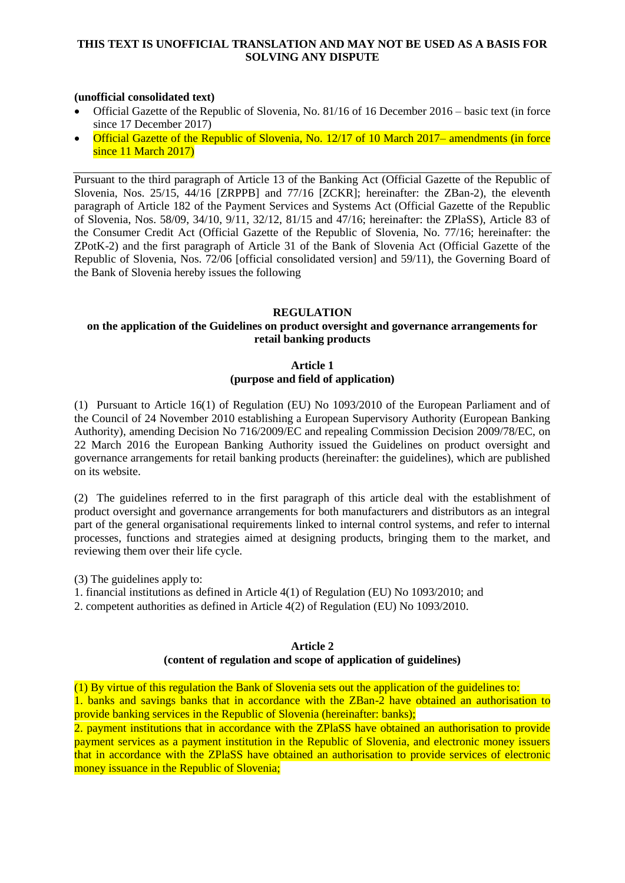## **THIS TEXT IS UNOFFICIAL TRANSLATION AND MAY NOT BE USED AS A BASIS FOR SOLVING ANY DISPUTE**

## **(unofficial consolidated text)**

- Official Gazette of the Republic of Slovenia, No. 81/16 of 16 December 2016 basic text (in force since 17 December 2017)
- Official Gazette of the Republic of Slovenia, No. 12/17 of 10 March 2017– amendments (in force since 11 March 2017)

Pursuant to the third paragraph of Article 13 of the Banking Act (Official Gazette of the Republic of Slovenia, Nos. 25/15, 44/16 [ZRPPB] and 77/16 [ZCKR]; hereinafter: the ZBan-2), the eleventh paragraph of Article 182 of the Payment Services and Systems Act (Official Gazette of the Republic of Slovenia, Nos. 58/09, 34/10, 9/11, 32/12, 81/15 and 47/16; hereinafter: the ZPlaSS), Article 83 of the Consumer Credit Act (Official Gazette of the Republic of Slovenia, No. 77/16; hereinafter: the ZPotK-2) and the first paragraph of Article 31 of the Bank of Slovenia Act (Official Gazette of the Republic of Slovenia, Nos. 72/06 [official consolidated version] and 59/11), the Governing Board of the Bank of Slovenia hereby issues the following

## **REGULATION**

## **on the application of the Guidelines on product oversight and governance arrangements for retail banking products**

## **Article 1 (purpose and field of application)**

(1) Pursuant to Article 16(1) of Regulation (EU) No 1093/2010 of the European Parliament and of the Council of 24 November 2010 establishing a European Supervisory Authority (European Banking Authority), amending Decision No 716/2009/EC and repealing Commission Decision 2009/78/EC, on 22 March 2016 the European Banking Authority issued the Guidelines on product oversight and governance arrangements for retail banking products (hereinafter: the guidelines), which are published on its website.

(2) The guidelines referred to in the first paragraph of this article deal with the establishment of product oversight and governance arrangements for both manufacturers and distributors as an integral part of the general organisational requirements linked to internal control systems, and refer to internal processes, functions and strategies aimed at designing products, bringing them to the market, and reviewing them over their life cycle.

(3) The guidelines apply to:

- 1. financial institutions as defined in Article 4(1) of Regulation (EU) No 1093/2010; and
- 2. competent authorities as defined in Article 4(2) of Regulation (EU) No 1093/2010.

#### **Article 2 (content of regulation and scope of application of guidelines)**

(1) By virtue of this regulation the Bank of Slovenia sets out the application of the guidelines to: 1. banks and savings banks that in accordance with the ZBan-2 have obtained an authorisation to provide banking services in the Republic of Slovenia (hereinafter: banks);

2. payment institutions that in accordance with the ZPlaSS have obtained an authorisation to provide payment services as a payment institution in the Republic of Slovenia, and electronic money issuers that in accordance with the ZPlaSS have obtained an authorisation to provide services of electronic money issuance in the Republic of Slovenia;